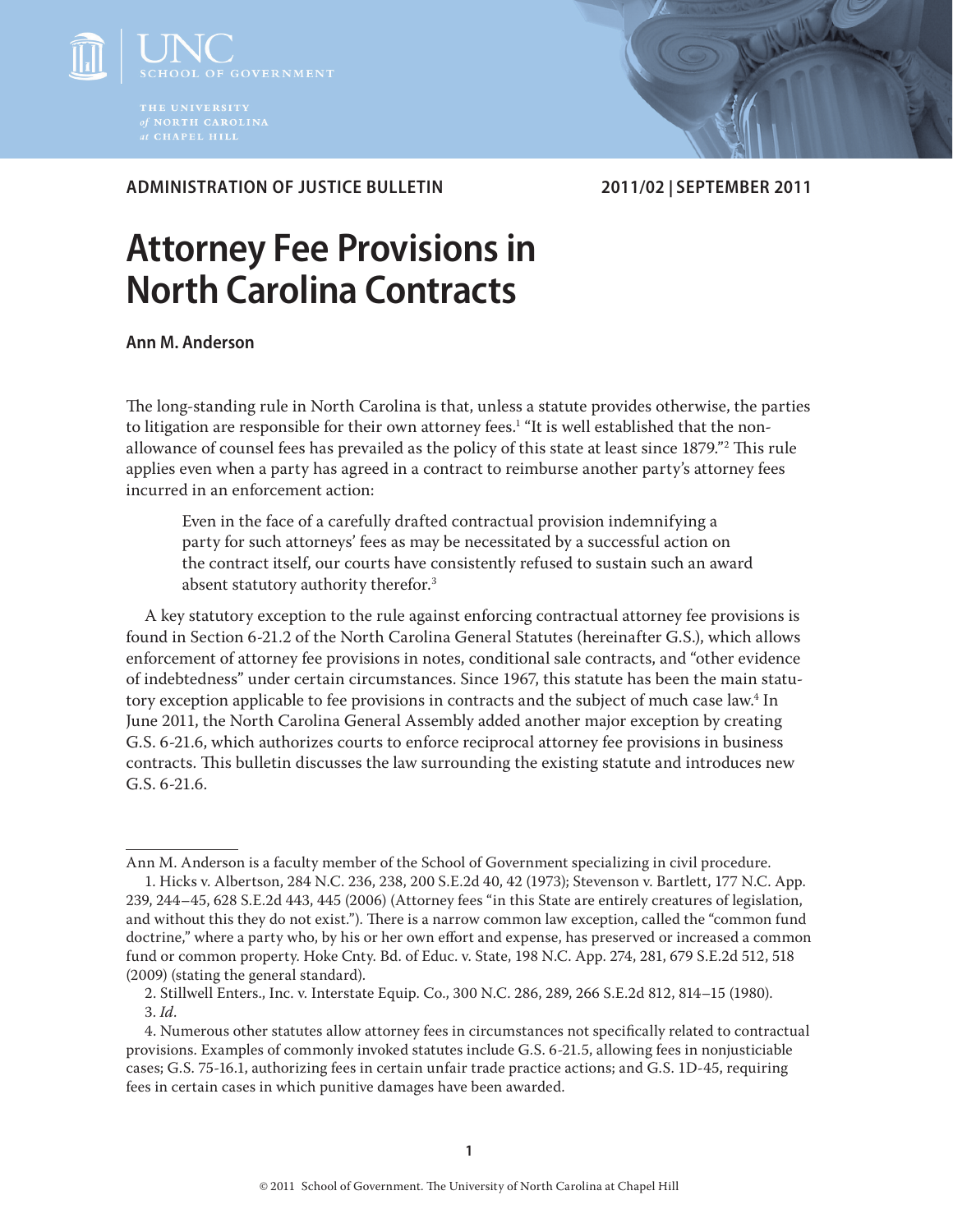

**ADMINISTRATION OF JUSTICE BULLETIN 2011/02 | SEPTEMBER 2011**

# **Attorney Fee Provisions in North Carolina Contracts**

**Ann M. Anderson**

The long-standing rule in North Carolina is that, unless a statute provides otherwise, the parties to litigation are responsible for their own attorney fees. $^{\rm 1}$  "It is well established that the nonallowance of counsel fees has prevailed as the policy of this state at least since 1879."2 This rule applies even when a party has agreed in a contract to reimburse another party's attorney fees incurred in an enforcement action:

Even in the face of a carefully drafted contractual provision indemnifying a party for such attorneys' fees as may be necessitated by a successful action on the contract itself, our courts have consistently refused to sustain such an award absent statutory authority therefor.<sup>3</sup>

A key statutory exception to the rule against enforcing contractual attorney fee provisions is found in Section 6-21.2 of the North Carolina General Statutes (hereinafter G.S.), which allows enforcement of attorney fee provisions in notes, conditional sale contracts, and "other evidence of indebtedness" under certain circumstances. Since 1967, this statute has been the main statutory exception applicable to fee provisions in contracts and the subject of much case law. $^4$  In June 2011, the North Carolina General Assembly added another major exception by creating G.S. 6-21.6, which authorizes courts to enforce reciprocal attorney fee provisions in business contracts. This bulletin discusses the law surrounding the existing statute and introduces new G.S. 6-21.6.

Ann M. Anderson is a faculty member of the School of Government specializing in civil procedure.

<sup>1.</sup> Hicks v. Albertson, 284 N.C. 236, 238, 200 S.E.2d 40, 42 (1973); Stevenson v. Bartlett, 177 N.C. App. 239, 244–45, 628 S.E.2d 443, 445 (2006) (Attorney fees "in this State are entirely creatures of legislation, and without this they do not exist."). There is a narrow common law exception, called the "common fund doctrine," where a party who, by his or her own effort and expense, has preserved or increased a common fund or common property. Hoke Cnty. Bd. of Educ. v. State, 198 N.C. App. 274, 281, 679 S.E.2d 512, 518 (2009) (stating the general standard).

<sup>2.</sup> Stillwell Enters., Inc. v. Interstate Equip. Co., 300 N.C. 286, 289, 266 S.E.2d 812, 814–15 (1980). 3. *Id*.

<sup>4.</sup> Numerous other statutes allow attorney fees in circumstances not specifically related to contractual provisions. Examples of commonly invoked statutes include G.S. 6-21.5, allowing fees in nonjusticiable cases; G.S. 75-16.1, authorizing fees in certain unfair trade practice actions; and G.S. 1D-45, requiring fees in certain cases in which punitive damages have been awarded.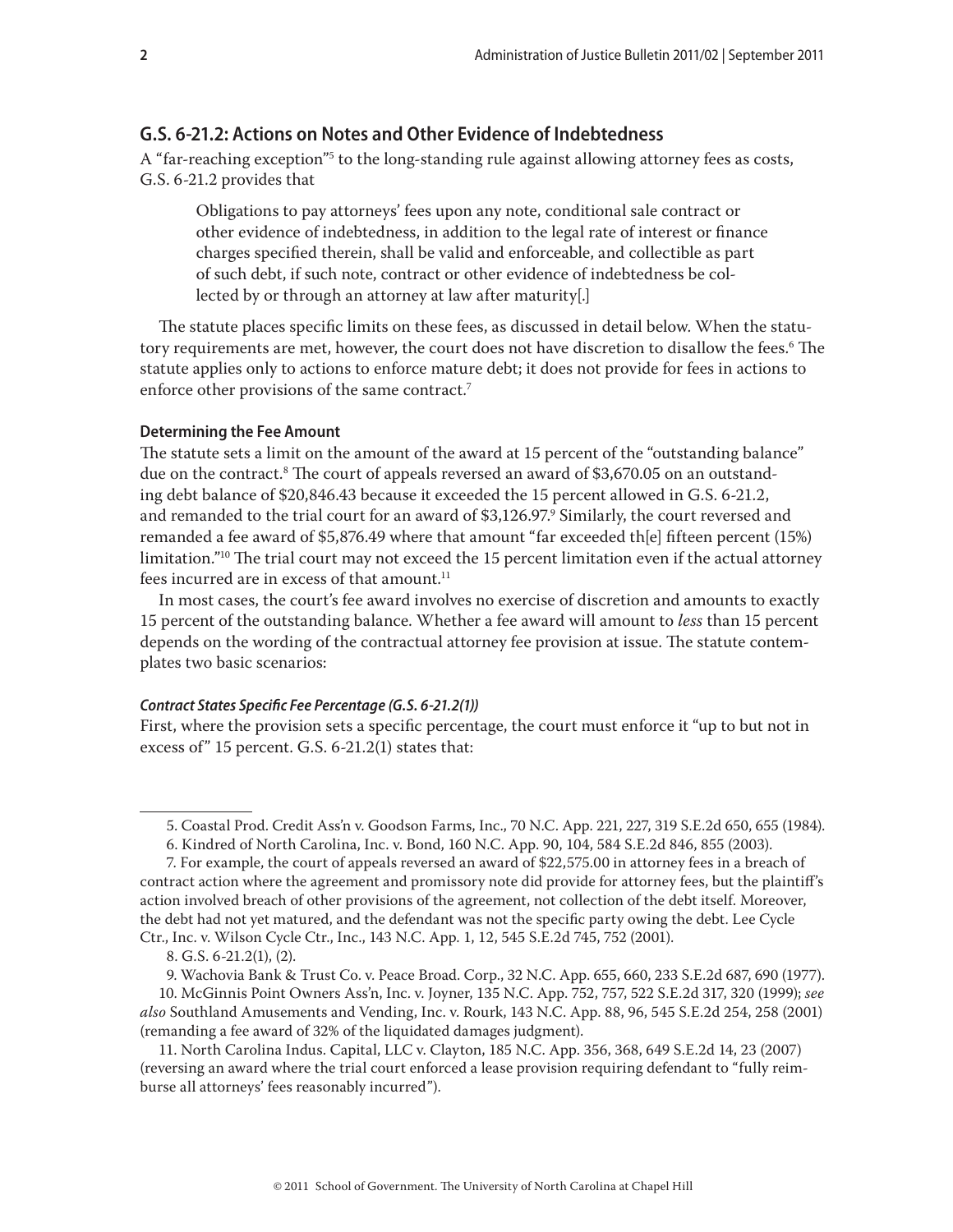# **G.S. 6-21.2: Actions on Notes and Other Evidence of Indebtedness**

A "far-reaching exception"<sup>5</sup> to the long-standing rule against allowing attorney fees as costs, G.S. 6-21.2 provides that

Obligations to pay attorneys' fees upon any note, conditional sale contract or other evidence of indebtedness, in addition to the legal rate of interest or finance charges specified therein, shall be valid and enforceable, and collectible as part of such debt, if such note, contract or other evidence of indebtedness be collected by or through an attorney at law after maturity[.]

The statute places specific limits on these fees, as discussed in detail below. When the statutory requirements are met, however, the court does not have discretion to disallow the fees.<sup>6</sup> The statute applies only to actions to enforce mature debt; it does not provide for fees in actions to enforce other provisions of the same contract.<sup>7</sup>

#### **Determining the Fee Amount**

The statute sets a limit on the amount of the award at 15 percent of the "outstanding balance" due on the contract.<sup>8</sup> The court of appeals reversed an award of \$3,670.05 on an outstanding debt balance of \$20,846.43 because it exceeded the 15 percent allowed in G.S. 6-21.2, and remanded to the trial court for an award of \$3,126.97.<sup>9</sup> Similarly, the court reversed and remanded a fee award of \$5,876.49 where that amount "far exceeded th[e] fifteen percent (15%) limitation."<sup>10</sup> The trial court may not exceed the 15 percent limitation even if the actual attorney fees incurred are in excess of that amount. $11$ 

In most cases, the court's fee award involves no exercise of discretion and amounts to exactly 15 percent of the outstanding balance. Whether a fee award will amount to *less* than 15 percent depends on the wording of the contractual attorney fee provision at issue. The statute contemplates two basic scenarios:

### *Contract States Specific Fee Percentage (G.S. 6-21.2(1))*

First, where the provision sets a specific percentage, the court must enforce it "up to but not in excess of" 15 percent. G.S. 6-21.2(1) states that:

<sup>5.</sup> Coastal Prod. Credit Ass'n v. Goodson Farms, Inc., 70 N.C. App. 221, 227, 319 S.E.2d 650, 655 (1984).

<sup>6.</sup> Kindred of North Carolina, Inc. v. Bond, 160 N.C. App. 90, 104, 584 S.E.2d 846, 855 (2003).

<sup>7.</sup> For example, the court of appeals reversed an award of \$22,575.00 in attorney fees in a breach of contract action where the agreement and promissory note did provide for attorney fees, but the plaintiff's action involved breach of other provisions of the agreement, not collection of the debt itself. Moreover, the debt had not yet matured, and the defendant was not the specific party owing the debt. Lee Cycle Ctr., Inc. v. Wilson Cycle Ctr., Inc., 143 N.C. App. 1, 12, 545 S.E.2d 745, 752 (2001).

<sup>8.</sup> G.S. 6-21.2(1), (2).

<sup>9.</sup> Wachovia Bank & Trust Co. v. Peace Broad. Corp., 32 N.C. App. 655, 660, 233 S.E.2d 687, 690 (1977).

<sup>10.</sup> McGinnis Point Owners Ass'n, Inc. v. Joyner, 135 N.C. App. 752, 757, 522 S.E.2d 317, 320 (1999); *see also* Southland Amusements and Vending, Inc. v. Rourk, 143 N.C. App. 88, 96, 545 S.E.2d 254, 258 (2001) (remanding a fee award of 32% of the liquidated damages judgment).

<sup>11.</sup> North Carolina Indus. Capital, LLC v. Clayton, 185 N.C. App. 356, 368, 649 S.E.2d 14, 23 (2007) (reversing an award where the trial court enforced a lease provision requiring defendant to "fully reimburse all attorneys' fees reasonably incurred").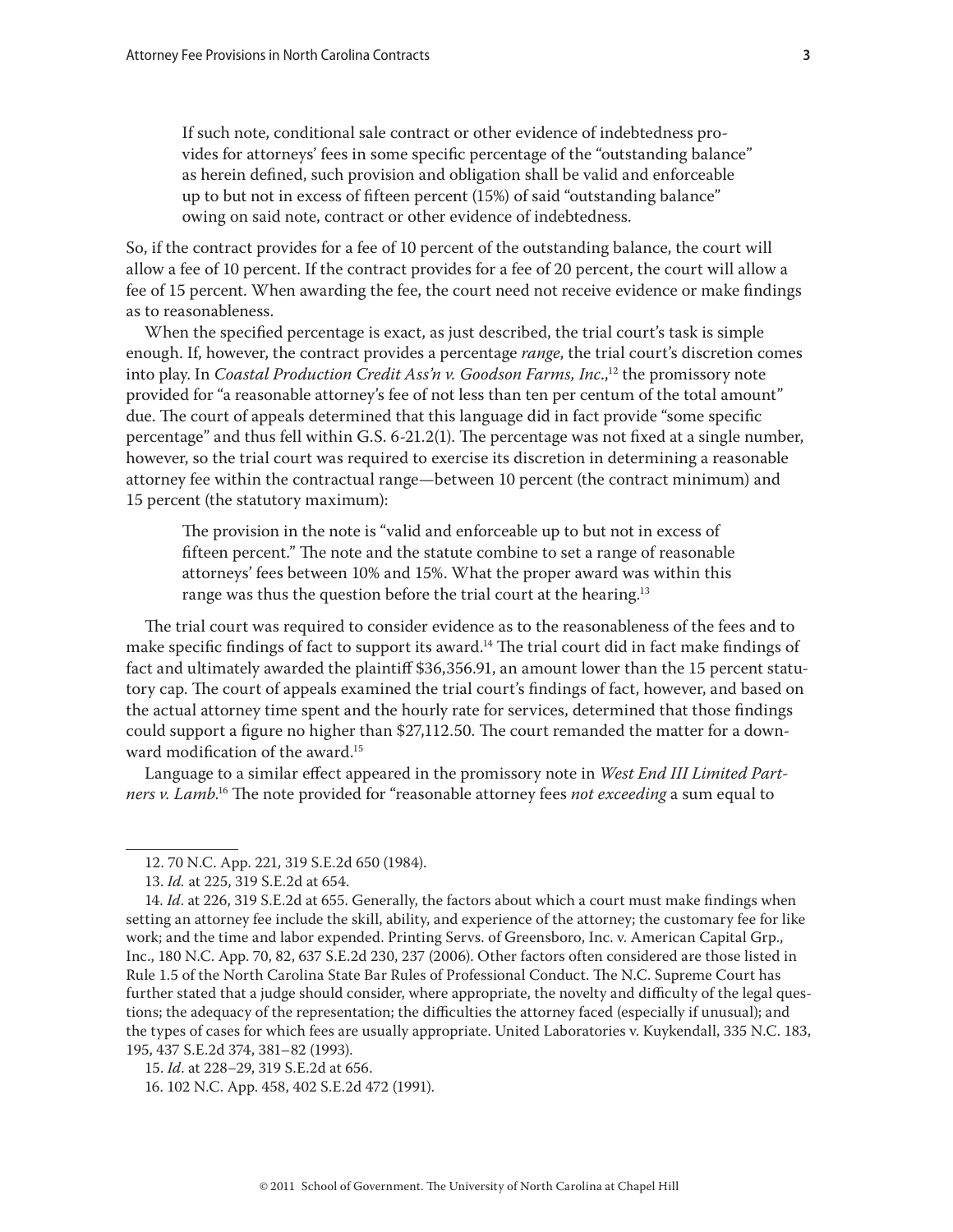If such note, conditional sale contract or other evidence of indebtedness provides for attorneys' fees in some specific percentage of the "outstanding balance" as herein defined, such provision and obligation shall be valid and enforceable up to but not in excess of fifteen percent (15%) of said "outstanding balance" owing on said note, contract or other evidence of indebtedness.

So, if the contract provides for a fee of 10 percent of the outstanding balance, the court will allow a fee of 10 percent. If the contract provides for a fee of 20 percent, the court will allow a fee of 15 percent. When awarding the fee, the court need not receive evidence or make findings as to reasonableness.

When the specified percentage is exact, as just described, the trial court's task is simple enough. If, however, the contract provides a percentage *range*, the trial court's discretion comes into play. In *Coastal Production Credit Ass'n v. Goodson Farms, Inc*.,12 the promissory note provided for "a reasonable attorney's fee of not less than ten per centum of the total amount" due. The court of appeals determined that this language did in fact provide "some specific percentage" and thus fell within G.S. 6-21.2(1). The percentage was not fixed at a single number, however, so the trial court was required to exercise its discretion in determining a reasonable attorney fee within the contractual range—between 10 percent (the contract minimum) and 15 percent (the statutory maximum):

The provision in the note is "valid and enforceable up to but not in excess of fifteen percent." The note and the statute combine to set a range of reasonable attorneys' fees between 10% and 15%. What the proper award was within this range was thus the question before the trial court at the hearing.<sup>13</sup>

The trial court was required to consider evidence as to the reasonableness of the fees and to make specific findings of fact to support its award.<sup>14</sup> The trial court did in fact make findings of fact and ultimately awarded the plaintiff \$36,356.91, an amount lower than the 15 percent statutory cap. The court of appeals examined the trial court's findings of fact, however, and based on the actual attorney time spent and the hourly rate for services, determined that those findings could support a figure no higher than \$27,112.50. The court remanded the matter for a downward modification of the award.<sup>15</sup>

Language to a similar effect appeared in the promissory note in *West End III Limited Partners v. Lamb*. 16 The note provided for "reasonable attorney fees *not exceeding* a sum equal to

<sup>12. 70</sup> N.C. App. 221, 319 S.E.2d 650 (1984).

<sup>13.</sup> *Id.* at 225, 319 S.E.2d at 654.

<sup>14.</sup> *Id*. at 226, 319 S.E.2d at 655. Generally, the factors about which a court must make findings when setting an attorney fee include the skill, ability, and experience of the attorney; the customary fee for like work; and the time and labor expended. Printing Servs. of Greensboro, Inc. v. American Capital Grp., Inc., 180 N.C. App. 70, 82, 637 S.E.2d 230, 237 (2006). Other factors often considered are those listed in Rule 1.5 of the North Carolina State Bar Rules of Professional Conduct. The N.C. Supreme Court has further stated that a judge should consider, where appropriate, the novelty and difficulty of the legal questions; the adequacy of the representation; the difficulties the attorney faced (especially if unusual); and the types of cases for which fees are usually appropriate. United Laboratories v. Kuykendall, 335 N.C. 183, 195, 437 S.E.2d 374, 381–82 (1993).

<sup>15.</sup> *Id*. at 228−29, 319 S.E.2d at 656.

<sup>16. 102</sup> N.C. App. 458, 402 S.E.2d 472 (1991).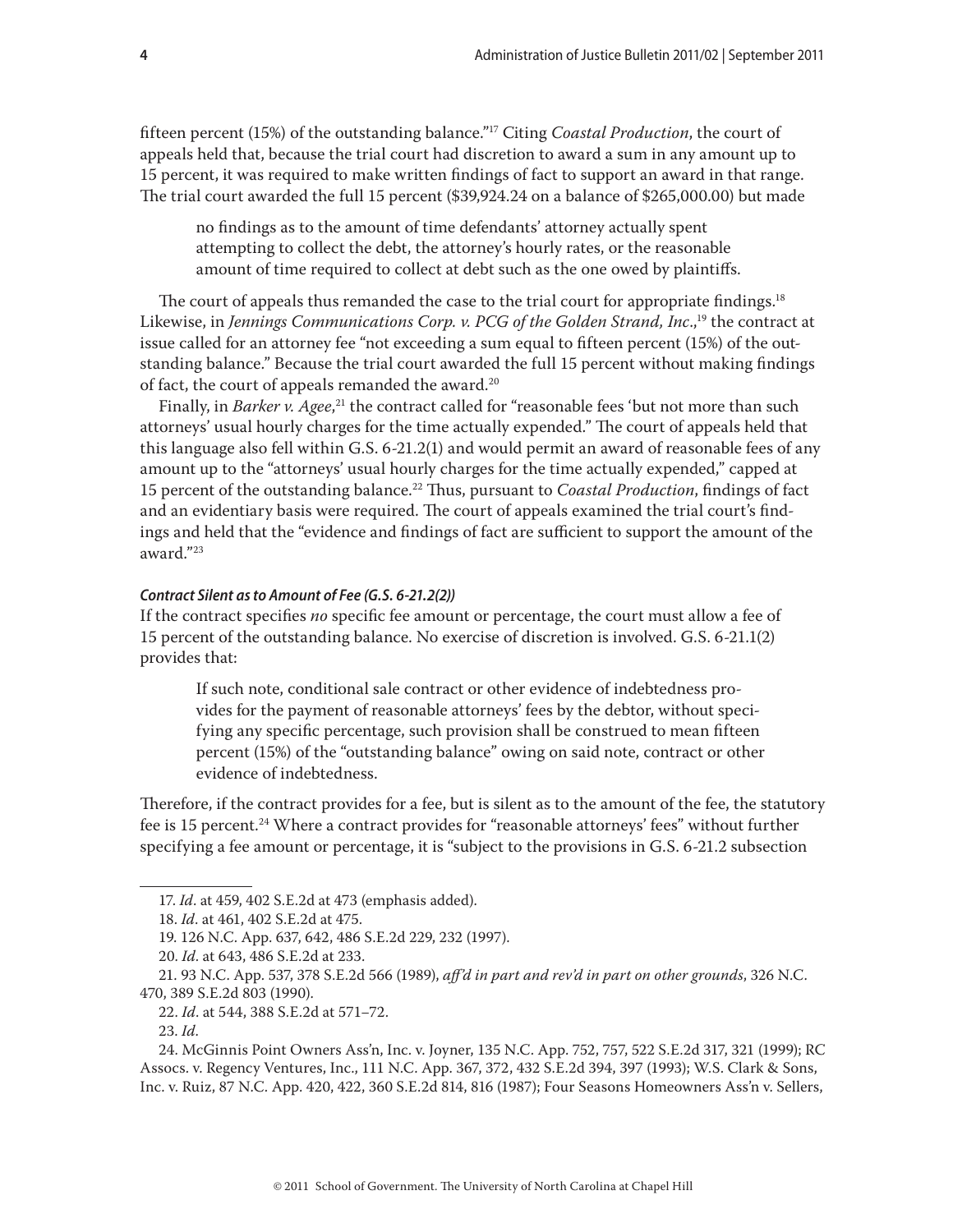fifteen percent (15%) of the outstanding balance."17 Citing *Coastal Production*, the court of appeals held that, because the trial court had discretion to award a sum in any amount up to 15 percent, it was required to make written findings of fact to support an award in that range. The trial court awarded the full 15 percent (\$39,924.24 on a balance of \$265,000.00) but made

no findings as to the amount of time defendants' attorney actually spent attempting to collect the debt, the attorney's hourly rates, or the reasonable amount of time required to collect at debt such as the one owed by plaintiffs.

The court of appeals thus remanded the case to the trial court for appropriate findings.<sup>18</sup> Likewise, in *Jennings Communications Corp. v. PCG of the Golden Strand, Inc.*,<sup>19</sup> the contract at issue called for an attorney fee "not exceeding a sum equal to fifteen percent (15%) of the outstanding balance." Because the trial court awarded the full 15 percent without making findings of fact, the court of appeals remanded the award.<sup>20</sup>

Finally, in *Barker v. Agee*, 21 the contract called for "reasonable fees 'but not more than such attorneys' usual hourly charges for the time actually expended." The court of appeals held that this language also fell within G.S. 6-21.2(1) and would permit an award of reasonable fees of any amount up to the "attorneys' usual hourly charges for the time actually expended," capped at 15 percent of the outstanding balance.22 Thus, pursuant to *Coastal Production*, findings of fact and an evidentiary basis were required. The court of appeals examined the trial court's findings and held that the "evidence and findings of fact are sufficient to support the amount of the award."23

#### *Contract Silent as to Amount of Fee (G.S. 6-21.2(2))*

If the contract specifies *no* specific fee amount or percentage, the court must allow a fee of 15 percent of the outstanding balance. No exercise of discretion is involved. G.S. 6-21.1(2) provides that:

If such note, conditional sale contract or other evidence of indebtedness provides for the payment of reasonable attorneys' fees by the debtor, without specifying any specific percentage, such provision shall be construed to mean fifteen percent (15%) of the "outstanding balance" owing on said note, contract or other evidence of indebtedness.

Therefore, if the contract provides for a fee, but is silent as to the amount of the fee, the statutory fee is 15 percent.<sup>24</sup> Where a contract provides for "reasonable attorneys' fees" without further specifying a fee amount or percentage, it is "subject to the provisions in G.S. 6-21.2 subsection

<sup>17.</sup> *Id*. at 459, 402 S.E.2d at 473 (emphasis added).

<sup>18.</sup> *Id*. at 461, 402 S.E.2d at 475.

<sup>19. 126</sup> N.C. App. 637, 642, 486 S.E.2d 229, 232 (1997).

<sup>20.</sup> *Id*. at 643, 486 S.E.2d at 233.

<sup>21. 93</sup> N.C. App. 537, 378 S.E.2d 566 (1989), *aff'd in part and rev'd in part on other grounds*, 326 N.C. 470, 389 S.E.2d 803 (1990).

<sup>22.</sup> *Id.* at 544, 388 S.E.2d at 571−72.

<sup>23.</sup> *Id*.

<sup>24.</sup> McGinnis Point Owners Ass'n, Inc. v. Joyner, 135 N.C. App. 752, 757, 522 S.E.2d 317, 321 (1999); RC Assocs. v. Regency Ventures, Inc., 111 N.C. App. 367, 372, 432 S.E.2d 394, 397 (1993); W.S. Clark & Sons, Inc. v. Ruiz, 87 N.C. App. 420, 422, 360 S.E.2d 814, 816 (1987); Four Seasons Homeowners Ass'n v. Sellers,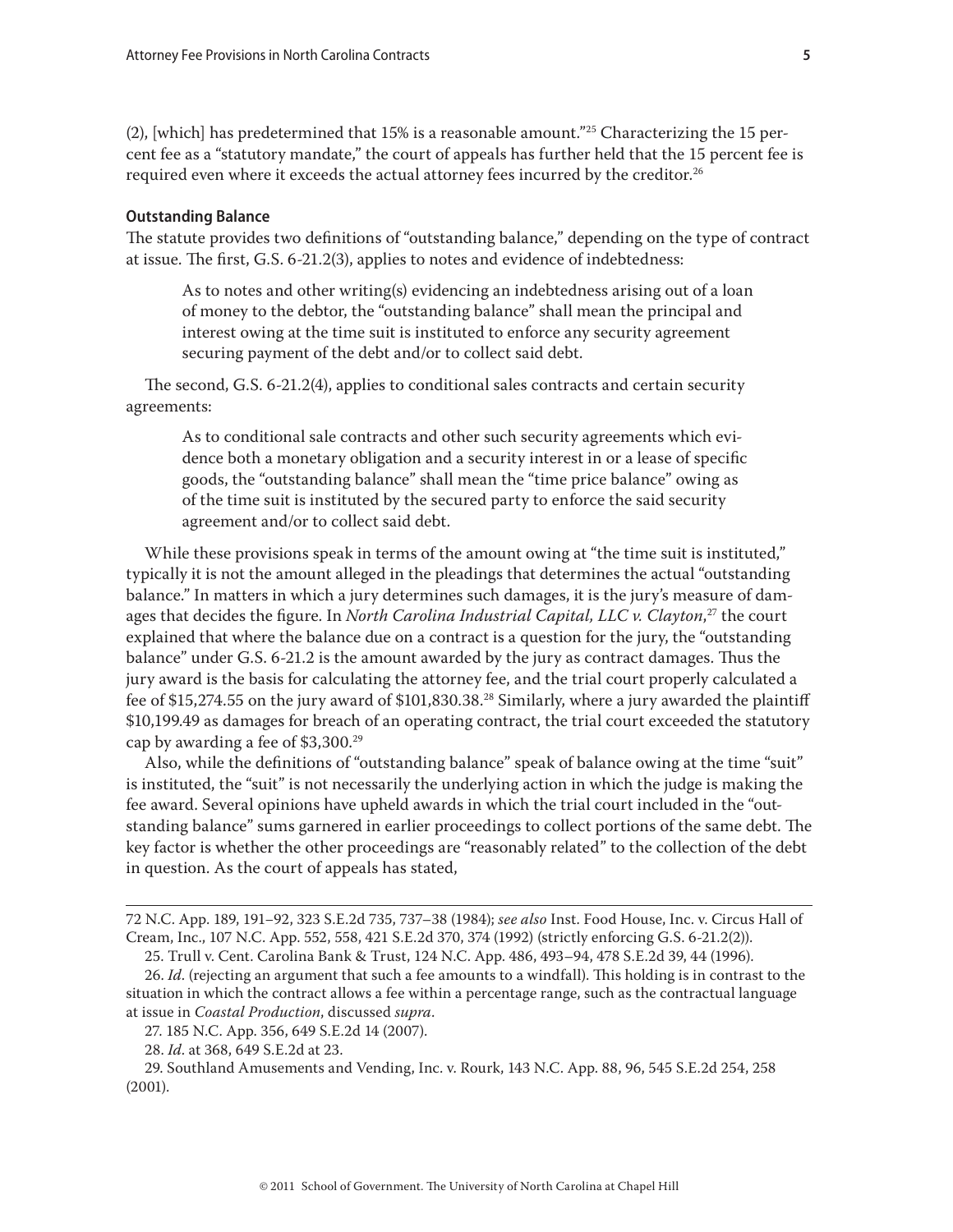(2), [which] has predetermined that 15% is a reasonable amount."<sup>25</sup> Characterizing the 15 percent fee as a "statutory mandate," the court of appeals has further held that the 15 percent fee is required even where it exceeds the actual attorney fees incurred by the creditor. $^{26}$ 

#### **Outstanding Balance**

The statute provides two definitions of "outstanding balance," depending on the type of contract at issue. The first, G.S. 6-21.2(3), applies to notes and evidence of indebtedness:

As to notes and other writing(s) evidencing an indebtedness arising out of a loan of money to the debtor, the "outstanding balance" shall mean the principal and interest owing at the time suit is instituted to enforce any security agreement securing payment of the debt and/or to collect said debt.

The second, G.S. 6-21.2(4), applies to conditional sales contracts and certain security agreements:

As to conditional sale contracts and other such security agreements which evidence both a monetary obligation and a security interest in or a lease of specific goods, the "outstanding balance" shall mean the "time price balance" owing as of the time suit is instituted by the secured party to enforce the said security agreement and/or to collect said debt.

While these provisions speak in terms of the amount owing at "the time suit is instituted," typically it is not the amount alleged in the pleadings that determines the actual "outstanding balance." In matters in which a jury determines such damages, it is the jury's measure of damages that decides the figure. In *North Carolina Industrial Capital, LLC v. Clayton*, 27 the court explained that where the balance due on a contract is a question for the jury, the "outstanding balance" under G.S. 6-21.2 is the amount awarded by the jury as contract damages. Thus the jury award is the basis for calculating the attorney fee, and the trial court properly calculated a fee of \$15,274.55 on the jury award of \$101,830.38.28 Similarly, where a jury awarded the plaintiff \$10,199.49 as damages for breach of an operating contract, the trial court exceeded the statutory cap by awarding a fee of \$3,300.29

Also, while the definitions of "outstanding balance" speak of balance owing at the time "suit" is instituted, the "suit" is not necessarily the underlying action in which the judge is making the fee award. Several opinions have upheld awards in which the trial court included in the "outstanding balance" sums garnered in earlier proceedings to collect portions of the same debt. The key factor is whether the other proceedings are "reasonably related" to the collection of the debt in question. As the court of appeals has stated,

29. Southland Amusements and Vending, Inc. v. Rourk, 143 N.C. App. 88, 96, 545 S.E.2d 254, 258 (2001).

<sup>72</sup> N.C. App. 189, 191−92, 323 S.E.2d 735, 737–38 (1984); *see also* Inst. Food House, Inc. v. Circus Hall of Cream, Inc., 107 N.C. App. 552, 558, 421 S.E.2d 370, 374 (1992) (strictly enforcing G.S. 6-21.2(2)).

<sup>25.</sup> Trull v. Cent. Carolina Bank & Trust, 124 N.C. App. 486, 493–94, 478 S.E.2d 39, 44 (1996).

<sup>26.</sup> *Id*. (rejecting an argument that such a fee amounts to a windfall). This holding is in contrast to the situation in which the contract allows a fee within a percentage range, such as the contractual language at issue in *Coastal Production*, discussed *supra*.

<sup>27. 185</sup> N.C. App. 356, 649 S.E.2d 14 (2007).

<sup>28.</sup> *Id*. at 368, 649 S.E.2d at 23.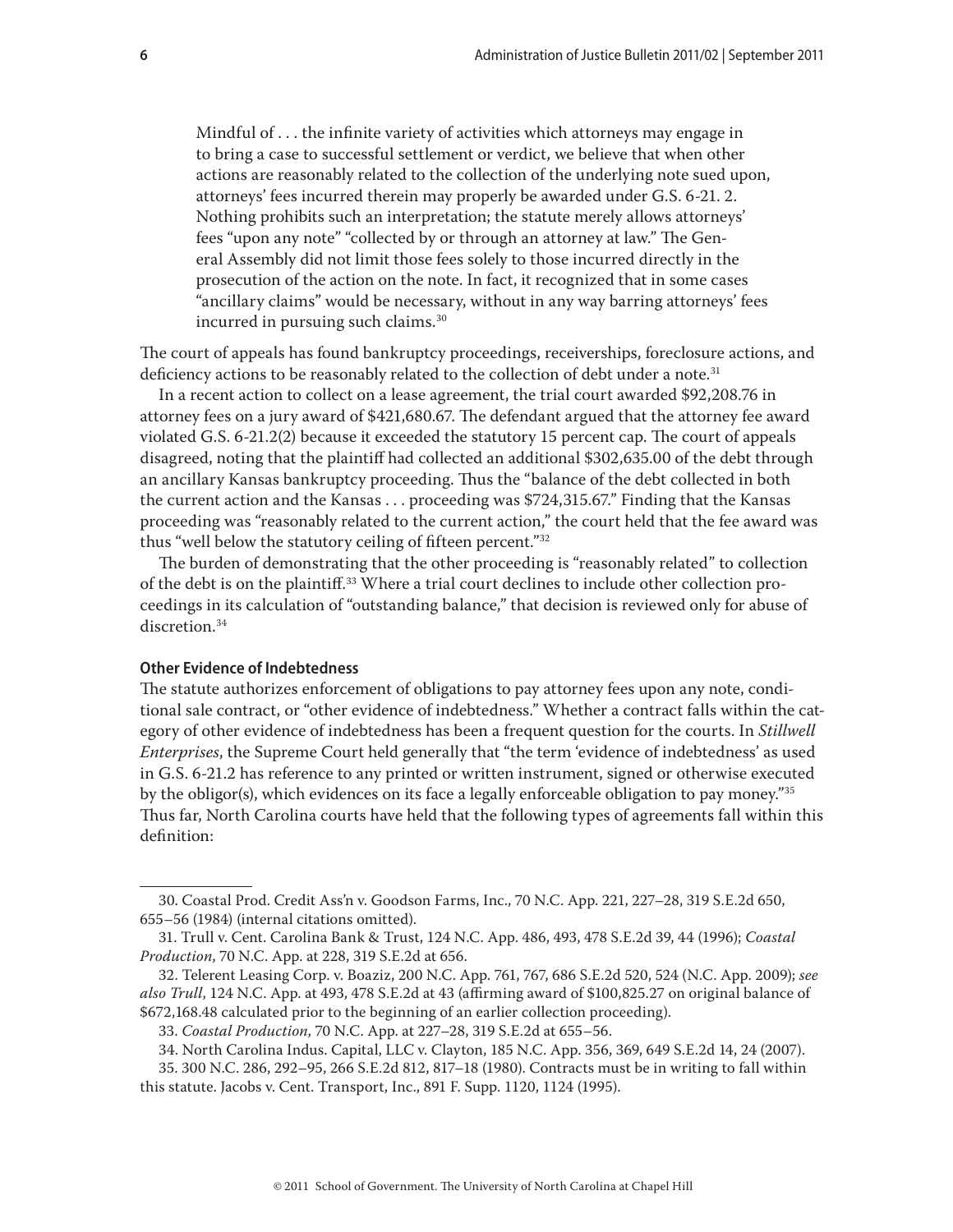Mindful of . . . the infinite variety of activities which attorneys may engage in to bring a case to successful settlement or verdict, we believe that when other actions are reasonably related to the collection of the underlying note sued upon, attorneys' fees incurred therein may properly be awarded under G.S. [6-21. 2](http://www.westlaw.com/Find/Default.wl?rs=dfa1.0&vr=2.0&DB=1000037&DocName=NCSTS6-21.2&FindType=L). Nothing prohibits such an interpretation; the statute merely allows attorneys' fees "upon any note" "collected by or through an attorney at law." The General Assembly did not limit those fees solely to those incurred directly in the prosecution of the action on the note. In fact, it recognized that in some cases "ancillary claims" would be necessary, without in any way barring attorneys' fees incurred in pursuing such claims.<sup>30</sup>

The court of appeals has found bankruptcy proceedings, receiverships, foreclosure actions, and deficiency actions to be reasonably related to the collection of debt under a note.<sup>31</sup>

In a recent action to collect on a lease agreement, the trial court awarded \$92,208.76 in attorney fees on a jury award of \$421,680.67. The defendant argued that the attorney fee award violated G.S. 6-21.2(2) because it exceeded the statutory 15 percent cap. The court of appeals disagreed, noting that the plaintiff had collected an additional \$302,635.00 of the debt through an ancillary Kansas bankruptcy proceeding. Thus the "balance of the debt collected in both the current action and the Kansas . . . proceeding was \$724,315.67." Finding that the Kansas proceeding was "reasonably related to the current action," the court held that the fee award was thus "well below the statutory ceiling of fifteen percent."32

The burden of demonstrating that the other proceeding is "reasonably related" to collection of the debt is on the plaintiff.33 Where a trial court declines to include other collection proceedings in its calculation of "outstanding balance," that decision is reviewed only for abuse of discretion.<sup>34</sup>

## **Other Evidence of Indebtedness**

The statute authorizes enforcement of obligations to pay attorney fees upon any note, conditional sale contract, or "other evidence of indebtedness." Whether a contract falls within the category of other evidence of indebtedness has been a frequent question for the courts. In *Stillwell Enterprises*, the Supreme Court held generally that "the term 'evidence of indebtedness' as used in G.S. 6-21.2 has reference to any printed or written instrument, signed or otherwise executed by the obligor(s), which evidences on its face a legally enforceable obligation to pay money."35 Thus far, North Carolina courts have held that the following types of agreements fall within this definition:

<sup>30.</sup> Coastal Prod. Credit Ass'n v. Goodson Farms, Inc., 70 N.C. App. 221, 227–28, 319 S.E.2d 650, 655–56 (1984) (internal citations omitted).

<sup>31.</sup> Trull v. Cent. Carolina Bank & Trust, 124 N.C. App. 486, 493, 478 S.E.2d 39, 44 (1996); *Coastal Production*, 70 N.C. App. at 228, 319 S.E.2d at 656.

<sup>32.</sup> Telerent Leasing Corp. v. Boaziz, 200 N.C. App. 761, 767, 686 S.E.2d 520, 524 (N.C. App. 2009); *see also Trull*, 124 N.C. App. at 493, 478 S.E.2d at 43 (affirming award of \$100,825.27 on original balance of \$672,168.48 calculated prior to the beginning of an earlier collection proceeding).

<sup>33.</sup> *Coastal Production*, 70 N.C. App. at 227–28, 319 S.E.2d at 655–56.

<sup>34.</sup> North Carolina Indus. Capital, LLC v. Clayton, 185 N.C. App. 356, 369, 649 S.E.2d 14, 24 (2007).

<sup>35. 300</sup> N.C. 286, 292–95, 266 S.E.2d 812, 817–18 (1980). Contracts must be in writing to fall within this statute. Jacobs v. Cent. Transport, Inc., 891 F. Supp. 1120, 1124 (1995).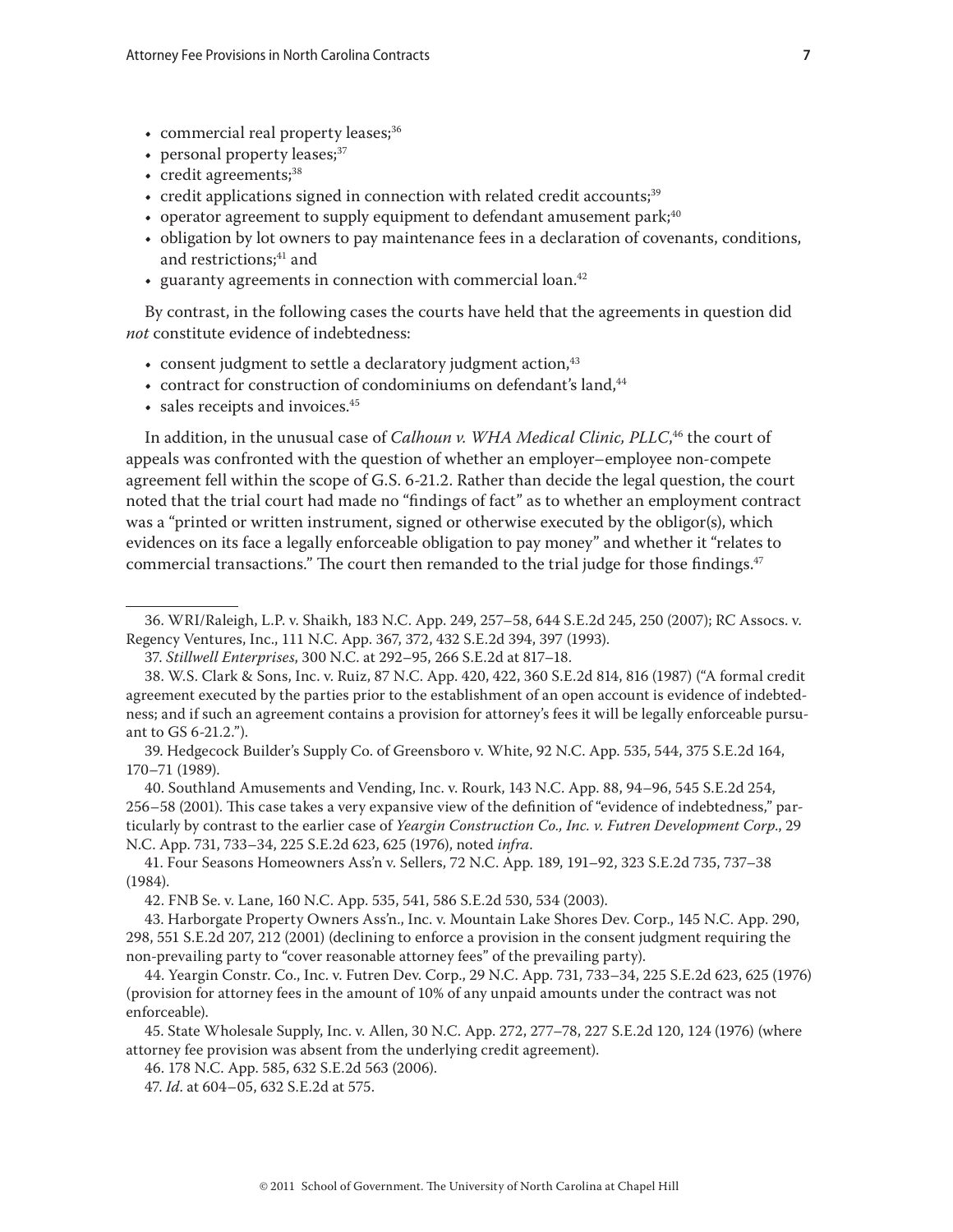- commercial real property leases;<sup>36</sup>
- personal property leases;<sup>37</sup>
- $\cdot$  credit agreements;<sup>38</sup>
- credit applications signed in connection with related credit accounts;<sup>39</sup>
- operator agreement to supply equipment to defendant amusement park;  $40^{\circ}$
- obligation by lot owners to pay maintenance fees in a declaration of covenants, conditions, and restrictions;<sup>41</sup> and
- guaranty agreements in connection with commercial loan. $42$

By contrast, in the following cases the courts have held that the agreements in question did *not* constitute evidence of indebtedness:

- consent judgment to settle a declaratory judgment action, <sup>43</sup>
- contract for construction of condominiums on defendant's land,<sup>44</sup>
- sales receipts and invoices.<sup>45</sup>

In addition, in the unusual case of *Calhoun v. WHA Medical Clinic, PLLC*, 46 the court of appeals was confronted with the question of whether an employer–employee non-compete agreement fell within the scope of G.S. 6-21.2. Rather than decide the legal question, the court noted that the trial court had made no "findings of fact" as to whether an employment contract was a "printed or written instrument, signed or otherwise executed by the obligor(s), which evidences on its face a legally enforceable obligation to pay money" and whether it "relates to commercial transactions." The court then remanded to the trial judge for those findings.<sup>47</sup>

40. Southland Amusements and Vending, Inc. v. Rourk, 143 N.C. App. 88, 94–96, 545 S.E.2d 254, 256–58 (2001). This case takes a very expansive view of the definition of "evidence of indebtedness," particularly by contrast to the earlier case of *Yeargin Construction Co., Inc. v. Futren Development Corp*., 29 N.C. App. 731, 733–34, 225 S.E.2d 623, 625 (1976), noted *infra*.

41. Four Seasons Homeowners Ass'n v. Sellers, 72 N.C. App. 189, 191–92, 323 S.E.2d 735, 737–38 (1984).

42. FNB Se. v. Lane, 160 N.C. App. 535, 541, 586 S.E.2d 530, 534 (2003).

<sup>36.</sup> WRI/Raleigh, L.P. v. Shaikh, 183 N.C. App. 249, 257–58, 644 S.E.2d 245, 250 (2007); RC Assocs. v. Regency Ventures, Inc., 111 N.C. App. 367, 372, 432 S.E.2d 394, 397 (1993).

<sup>37.</sup> *Stillwell Enterprises*, 300 N.C. at 292–95, 266 S.E.2d at 817–18.

<sup>38.</sup> W.S. Clark & Sons, Inc. v. Ruiz, 87 N.C. App. 420, 422, 360 S.E.2d 814, 816 (1987) ("A formal credit agreement executed by the parties prior to the establishment of an open account is evidence of indebtedness; and if such an agreement contains a provision for attorney's fees it will be legally enforceable pursuant to GS 6-21.2.").

<sup>39.</sup> Hedgecock Builder's Supply Co. of Greensboro v. White, 92 N.C. App. 535, 544, 375 S.E.2d 164, 170–71 (1989).

<sup>43.</sup> Harborgate Property Owners Ass'n., Inc. v. Mountain Lake Shores Dev. Corp., 145 N.C. App. 290, 298, 551 S.E.2d 207, 212 (2001) (declining to enforce a provision in the consent judgment requiring the non-prevailing party to "cover reasonable attorney fees" of the prevailing party).

<sup>44.</sup> Yeargin Constr. Co., Inc. v. Futren Dev. Corp., 29 N.C. App. 731, 733–34, 225 S.E.2d 623, 625 (1976) (provision for attorney fees in the amount of 10% of any unpaid amounts under the contract was not enforceable).

<sup>45.</sup> State Wholesale Supply, Inc. v. Allen, 30 N.C. App. 272, 277–78, 227 S.E.2d 120, 124 (1976) (where attorney fee provision was absent from the underlying credit agreement).

<sup>46. 178</sup> N.C. App. 585, 632 S.E.2d 563 (2006).

<sup>47.</sup> *Id*. at 604–05, 632 S.E.2d at 575.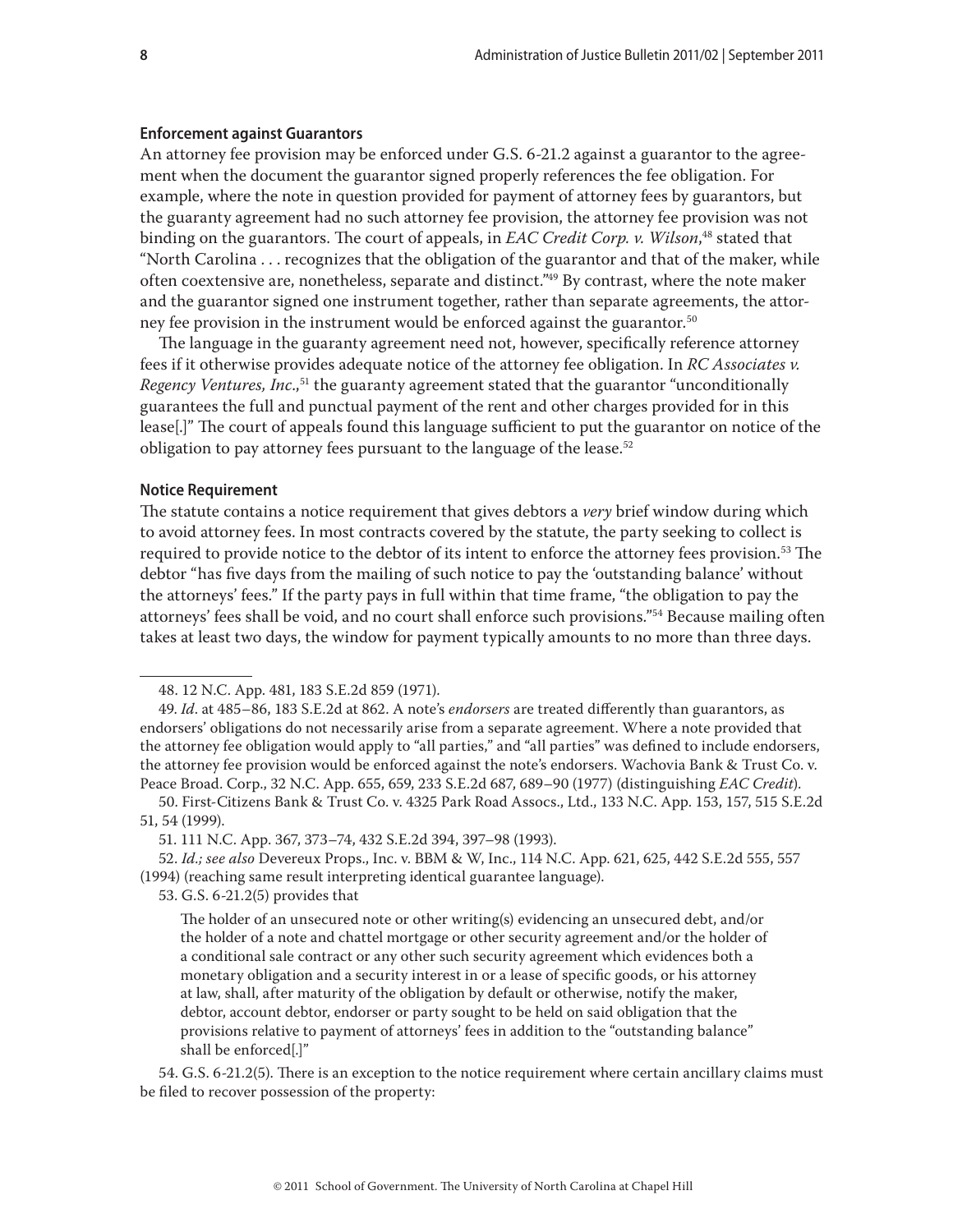#### **Enforcement against Guarantors**

An attorney fee provision may be enforced under G.S. 6-21.2 against a guarantor to the agreement when the document the guarantor signed properly references the fee obligation. For example, where the note in question provided for payment of attorney fees by guarantors, but the guaranty agreement had no such attorney fee provision, the attorney fee provision was not binding on the guarantors. The court of appeals, in *EAC Credit Corp. v. Wilson*, 48 stated that "North Carolina . . . recognizes that the obligation of the guarantor and that of the maker, while often coextensive are, nonetheless, separate and distinct."49 By contrast, where the note maker and the guarantor signed one instrument together, rather than separate agreements, the attorney fee provision in the instrument would be enforced against the guarantor.<sup>50</sup>

The language in the guaranty agreement need not, however, specifically reference attorney fees if it otherwise provides adequate notice of the attorney fee obligation. In *RC Associates v. Regency Ventures, Inc.*,<sup>51</sup> the guaranty agreement stated that the guarantor "unconditionally guarantees the full and punctual payment of the rent and other charges provided for in this lease[.]" The court of appeals found this language sufficient to put the guarantor on notice of the obligation to pay attorney fees pursuant to the language of the lease.<sup>52</sup>

#### **Notice Requirement**

The statute contains a notice requirement that gives debtors a *very* brief window during which to avoid attorney fees. In most contracts covered by the statute, the party seeking to collect is required to provide notice to the debtor of its intent to enforce the attorney fees provision.<sup>53</sup> The debtor "has five days from the mailing of such notice to pay the 'outstanding balance' without the attorneys' fees." If the party pays in full within that time frame, "the obligation to pay the attorneys' fees shall be void, and no court shall enforce such provisions."54 Because mailing often takes at least two days, the window for payment typically amounts to no more than three days.

51. 111 N.C. App. 367, 373–74, 432 S.E.2d 394, 397–98 (1993).

52. *Id.; see also* Devereux Props., Inc. v. BBM & W, Inc., 114 N.C. App. 621, 625, 442 S.E.2d 555, 557 (1994) (reaching same result interpreting identical guarantee language).

53. G.S. 6-21.2(5) provides that

54. G.S. 6-21.2(5). There is an exception to the notice requirement where certain ancillary claims must be filed to recover possession of the property:

<sup>48. 12</sup> N.C. App. 481, 183 S.E.2d 859 (1971).

<sup>49.</sup> *Id*. at 485–86, 183 S.E.2d at 862. A note's *endorsers* are treated differently than guarantors, as endorsers' obligations do not necessarily arise from a separate agreement. Where a note provided that the attorney fee obligation would apply to "all parties," and "all parties" was defined to include endorsers, the attorney fee provision would be enforced against the note's endorsers. Wachovia Bank & Trust Co. v. Peace Broad. Corp., 32 N.C. App. 655, 659, 233 S.E.2d 687, 689–90 (1977) (distinguishing *EAC Credit*).

<sup>50.</sup> First-Citizens Bank & Trust Co. v. 4325 Park Road Assocs., Ltd., 133 N.C. App. 153, 157, 515 S.E.2d 51, 54 (1999).

The holder of an unsecured note or other writing(s) evidencing an unsecured debt, and/or the holder of a note and chattel mortgage or other security agreement and/or the holder of a conditional sale contract or any other such security agreement which evidences both a monetary obligation and a security interest in or a lease of specific goods, or his attorney at law, shall, after maturity of the obligation by default or otherwise, notify the maker, debtor, account debtor, endorser or party sought to be held on said obligation that the provisions relative to payment of attorneys' fees in addition to the "outstanding balance" shall be enforced[.]"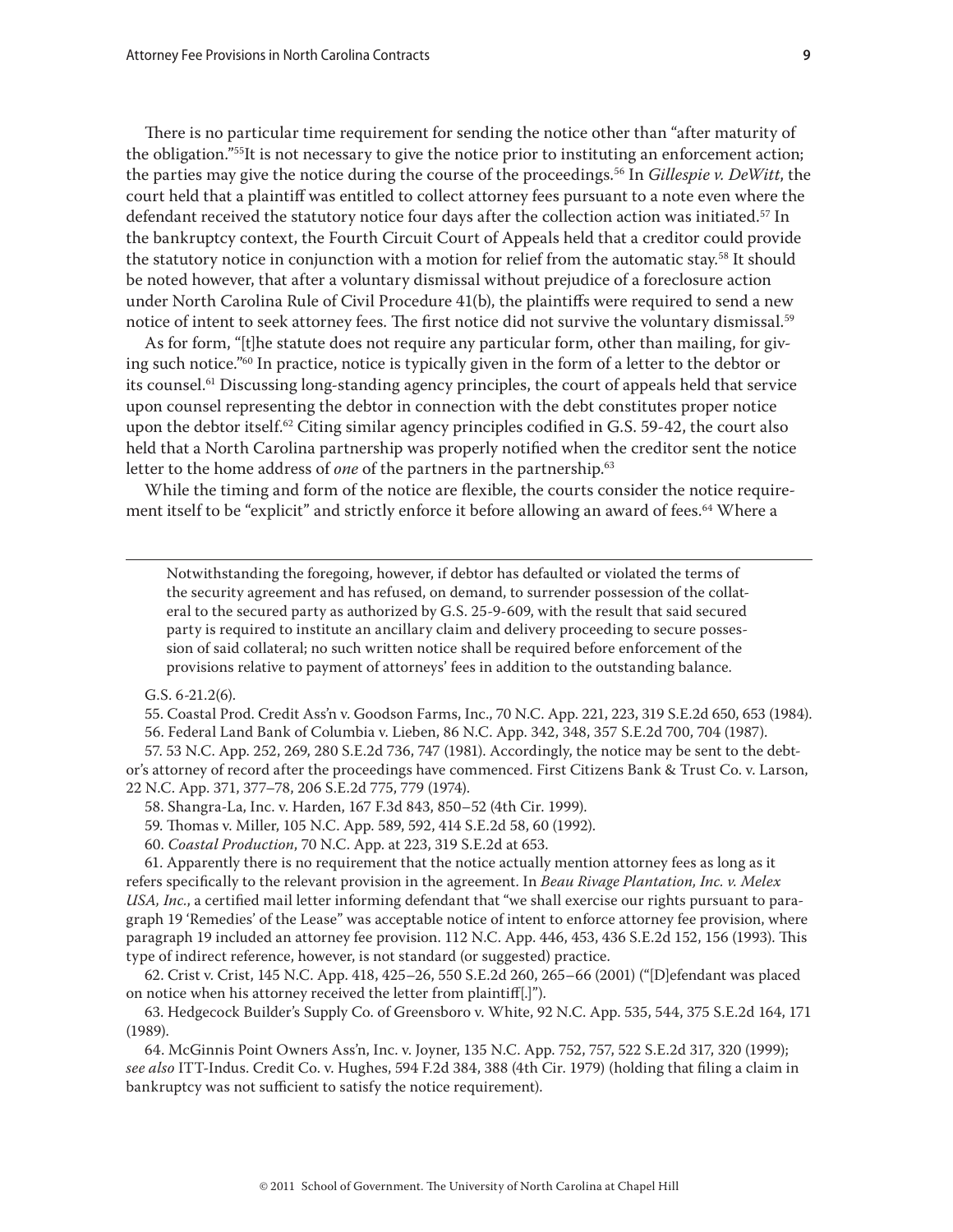There is no particular time requirement for sending the notice other than "after maturity of the obligation."<sup>55</sup>It is not necessary to give the notice prior to instituting an enforcement action; the parties may give the notice during the course of the proceedings.56 In *Gillespie v. DeWitt*, the court held that a plaintiff was entitled to collect attorney fees pursuant to a note even where the defendant received the statutory notice four days after the collection action was initiated. $^{57}$  In the bankruptcy context, the Fourth Circuit Court of Appeals held that a creditor could provide the statutory notice in conjunction with a motion for relief from the automatic stay.<sup>58</sup> It should be noted however, that after a voluntary dismissal without prejudice of a foreclosure action under North Carolina Rule of Civil Procedure 41(b), the plaintiffs were required to send a new notice of intent to seek attorney fees. The first notice did not survive the voluntary dismissal.<sup>59</sup>

As for form, "[t]he statute does not require any particular form, other than mailing, for giving such notice."<sup>60</sup> In practice, notice is typically given in the form of a letter to the debtor or its counsel.<sup>61</sup> Discussing long-standing agency principles, the court of appeals held that service upon counsel representing the debtor in connection with the debt constitutes proper notice upon the debtor itself.<sup>62</sup> Citing similar agency principles codified in G.S. 59-42, the court also held that a North Carolina partnership was properly notified when the creditor sent the notice letter to the home address of *one* of the partners in the partnership.<sup>63</sup>

While the timing and form of the notice are flexible, the courts consider the notice requirement itself to be "explicit" and strictly enforce it before allowing an award of fees.<sup>64</sup> Where a

Notwithstanding the foregoing, however, if debtor has defaulted or violated the terms of the security agreement and has refused, on demand, to surrender possession of the collateral to the secured party as authorized by G.S. 25-9-609, with the result that said secured party is required to institute an ancillary claim and delivery proceeding to secure possession of said collateral; no such written notice shall be required before enforcement of the provisions relative to payment of attorneys' fees in addition to the outstanding balance.

G.S. 6-21.2(6).

55. Coastal Prod. Credit Ass'n v. Goodson Farms, Inc., 70 N.C. App. 221, 223, 319 S.E.2d 650, 653 (1984).

56. Federal Land Bank of Columbia v. Lieben, 86 N.C. App. 342, 348, 357 S.E.2d 700, 704 (1987).

57. 53 N.C. App. 252, 269, 280 S.E.2d 736, 747 (1981). Accordingly, the notice may be sent to the debtor's attorney of record after the proceedings have commenced. First Citizens Bank & Trust Co. v. Larson, 22 N.C. App. 371, 377–78, 206 S.E.2d 775, 779 (1974).

58. Shangra-La, Inc. v. Harden, 167 F.3d 843, 850–52 (4th Cir. 1999).

59. Thomas v. Miller, 105 N.C. App. 589, 592, 414 S.E.2d 58, 60 (1992).

60. *Coastal Production*, 70 N.C. App. at 223, 319 S.E.2d at 653.

61. Apparently there is no requirement that the notice actually mention attorney fees as long as it refers specifically to the relevant provision in the agreement. In *Beau Rivage Plantation, Inc. v. Melex USA, Inc.*, a certified mail letter informing defendant that "we shall exercise our rights pursuant to paragraph 19 'Remedies' of the Lease" was acceptable notice of intent to enforce attorney fee provision, where paragraph 19 included an attorney fee provision. 112 N.C. App. 446, 453, 436 S.E.2d 152, 156 (1993). This type of indirect reference, however, is not standard (or suggested) practice.

62. Crist v. Crist, 145 N.C. App. 418, 425–26, 550 S.E.2d 260, 265–66 (2001) ("[D]efendant was placed on notice when his attorney received the letter from plaintiff[.]").

63. Hedgecock Builder's Supply Co. of Greensboro v. White, 92 N.C. App. 535, 544, 375 S.E.2d 164, 171 (1989).

64. McGinnis Point Owners Ass'n, Inc. v. Joyner, 135 N.C. App. 752, 757, 522 S.E.2d 317, 320 (1999); *see also* ITT-Indus. Credit Co. v. Hughes, 594 F.2d 384, 388 (4th Cir. 1979) (holding that filing a claim in bankruptcy was not sufficient to satisfy the notice requirement).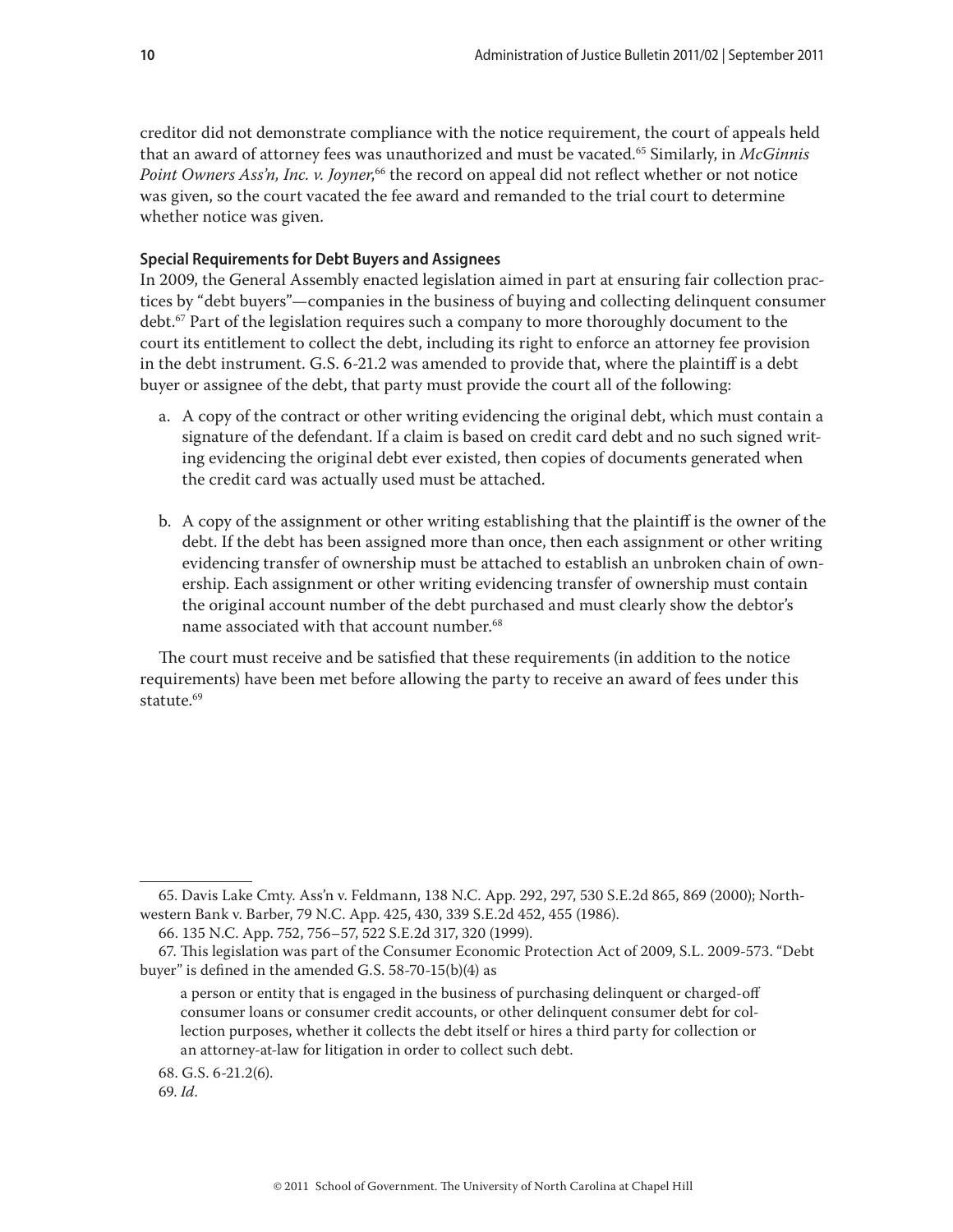creditor did not demonstrate compliance with the notice requirement, the court of appeals held that an award of attorney fees was unauthorized and must be vacated.65 Similarly, in *McGinnis Point Owners Ass'n, Inc. v. Joyner*, 66 the record on appeal did not reflect whether or not notice was given, so the court vacated the fee award and remanded to the trial court to determine whether notice was given.

#### **Special Requirements for Debt Buyers and Assignees**

In 2009, the General Assembly enacted legislation aimed in part at ensuring fair collection practices by "debt buyers"—companies in the business of buying and collecting delinquent consumer debt.<sup>67</sup> Part of the legislation requires such a company to more thoroughly document to the court its entitlement to collect the debt, including its right to enforce an attorney fee provision in the debt instrument. G.S. 6-21.2 was amended to provide that, where the plaintiff is a debt buyer or assignee of the debt, that party must provide the court all of the following:

- a. A copy of the contract or other writing evidencing the original debt, which must contain a signature of the defendant. If a claim is based on credit card debt and no such signed writing evidencing the original debt ever existed, then copies of documents generated when the credit card was actually used must be attached.
- b. A copy of the assignment or other writing establishing that the plaintiff is the owner of the debt. If the debt has been assigned more than once, then each assignment or other writing evidencing transfer of ownership must be attached to establish an unbroken chain of ownership. Each assignment or other writing evidencing transfer of ownership must contain the original account number of the debt purchased and must clearly show the debtor's name associated with that account number.<sup>68</sup>

The court must receive and be satisfied that these requirements (in addition to the notice requirements) have been met before allowing the party to receive an award of fees under this statute.<sup>69</sup>

68. G.S. 6-21.2(6).

<sup>65.</sup> Davis Lake Cmty. Ass'n v. Feldmann, 138 N.C. App. 292, 297, 530 S.E.2d 865, 869 (2000); Northwestern Bank v. Barber, 79 N.C. App. 425, 430, 339 S.E.2d 452, 455 (1986).

<sup>66. 135</sup> N.C. App. 752, 756–57, 522 S.E.2d 317, 320 (1999).

<sup>67.</sup> This legislation was part of the Consumer Economic Protection Act of 2009, S.L. 2009-573. "Debt buyer" is defined in the amended G.S. 58-70-15(b)(4) as

a person or entity that is engaged in the business of purchasing delinquent or charged-off consumer loans or consumer credit accounts, or other delinquent consumer debt for collection purposes, whether it collects the debt itself or hires a third party for collection or an attorney-at-law for litigation in order to collect such debt.

<sup>69.</sup> *Id*.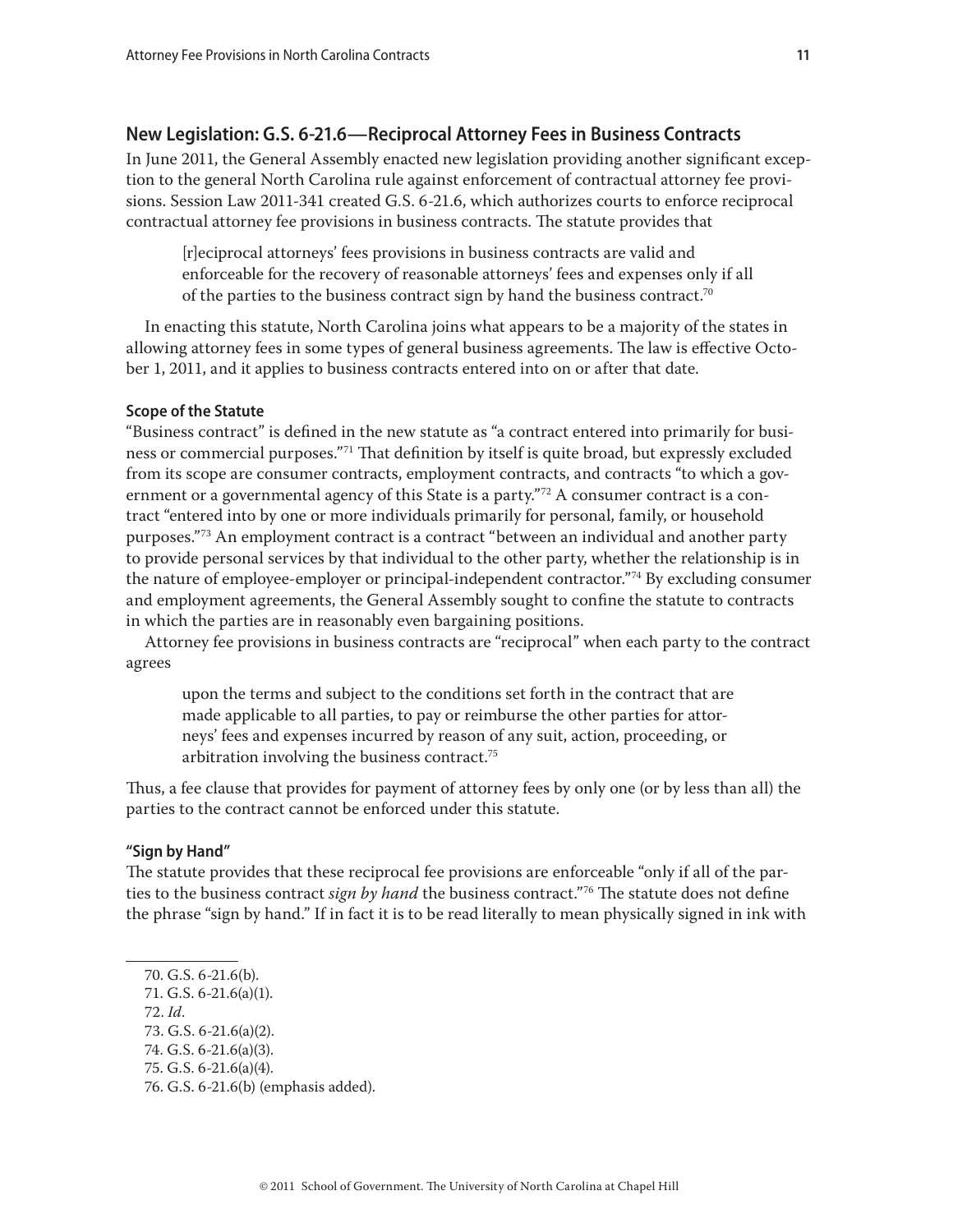# **New Legislation: G.S. 6-21.6—Reciprocal Attorney Fees in Business Contracts**

In June 2011, the General Assembly enacted new legislation providing another significant exception to the general North Carolina rule against enforcement of contractual attorney fee provisions. Session Law 2011-341 created G.S. 6-21.6, which authorizes courts to enforce reciprocal contractual attorney fee provisions in business contracts. The statute provides that

[r]eciprocal attorneys' fees provisions in business contracts are valid and enforceable for the recovery of reasonable attorneys' fees and expenses only if all of the parties to the business contract sign by hand the business contract.70

In enacting this statute, North Carolina joins what appears to be a majority of the states in allowing attorney fees in some types of general business agreements. The law is effective October 1, 2011, and it applies to business contracts entered into on or after that date.

#### **Scope of the Statute**

"Business contract" is defined in the new statute as "a contract entered into primarily for business or commercial purposes."<sup>71</sup> That definition by itself is quite broad, but expressly excluded from its scope are consumer contracts, employment contracts, and contracts "to which a government or a governmental agency of this State is a party.<sup> $n^2$ </sup> A consumer contract is a contract "entered into by one or more individuals primarily for personal, family, or household purposes."73 An employment contract is a contract "between an individual and another party to provide personal services by that individual to the other party, whether the relationship is in the nature of employee-employer or principal-independent contractor."<sup>74</sup> By excluding consumer and employment agreements, the General Assembly sought to confine the statute to contracts in which the parties are in reasonably even bargaining positions.

Attorney fee provisions in business contracts are "reciprocal" when each party to the contract agrees

upon the terms and subject to the conditions set forth in the contract that are made applicable to all parties, to pay or reimburse the other parties for attorneys' fees and expenses incurred by reason of any suit, action, proceeding, or arbitration involving the business contract.75

Thus, a fee clause that provides for payment of attorney fees by only one (or by less than all) the parties to the contract cannot be enforced under this statute.

#### **"Sign by Hand"**

The statute provides that these reciprocal fee provisions are enforceable "only if all of the parties to the business contract *sign by hand* the business contract."76 The statute does not define the phrase "sign by hand." If in fact it is to be read literally to mean physically signed in ink with

- 72. *Id*.
- 73. G.S. 6-21.6(a)(2).
- 74. G.S. 6-21.6(a)(3).
- 75. G.S. 6-21.6(a)(4).
- 76. G.S. 6-21.6(b) (emphasis added).

<sup>70.</sup> G.S. 6-21.6(b).

<sup>71.</sup> G.S. 6-21.6(a)(1).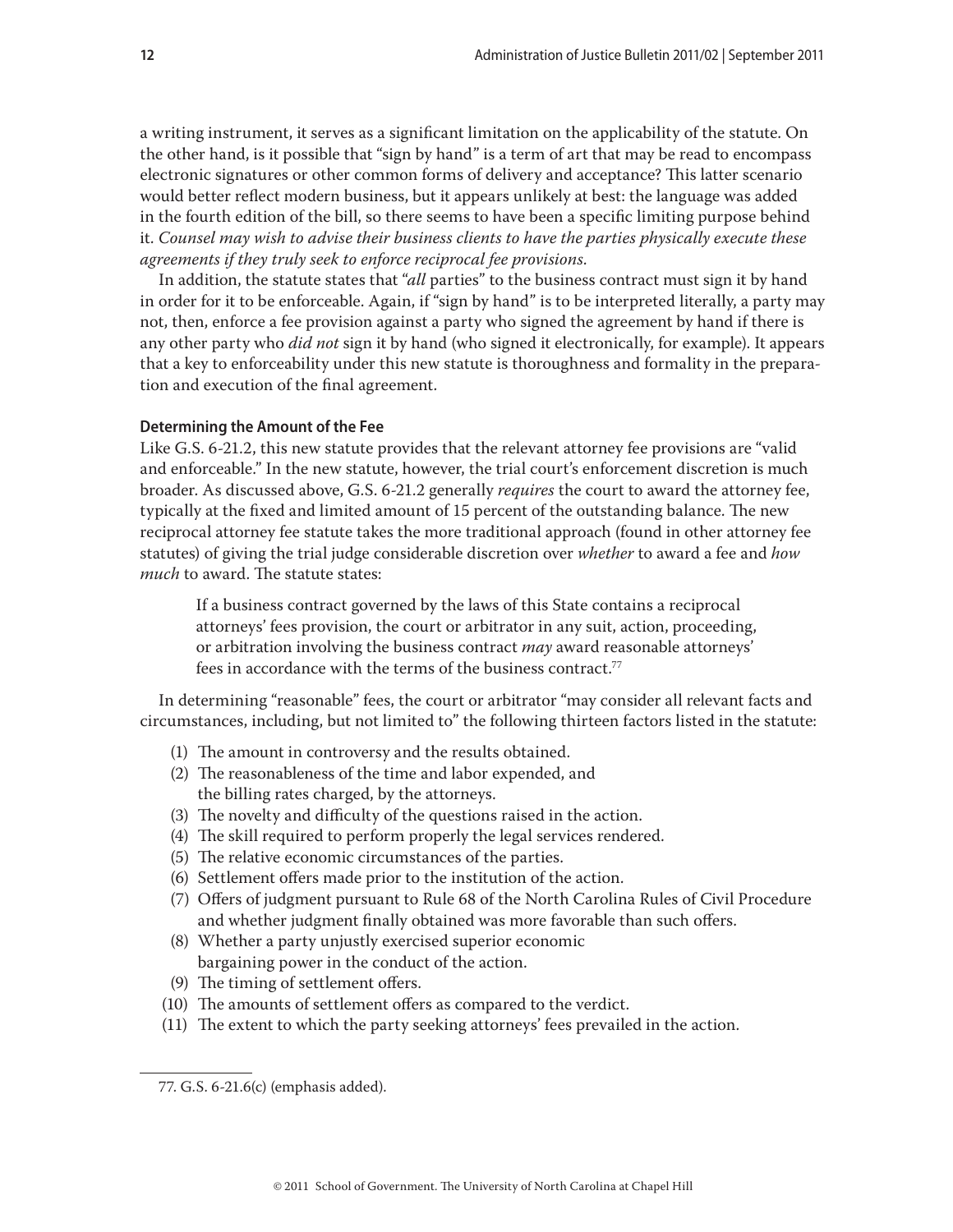a writing instrument, it serves as a significant limitation on the applicability of the statute. On the other hand, is it possible that "sign by hand" is a term of art that may be read to encompass electronic signatures or other common forms of delivery and acceptance? This latter scenario would better reflect modern business, but it appears unlikely at best: the language was added in the fourth edition of the bill, so there seems to have been a specific limiting purpose behind it. *Counsel may wish to advise their business clients to have the parties physically execute these agreements if they truly seek to enforce reciprocal fee provisions*.

In addition, the statute states that "*all* parties" to the business contract must sign it by hand in order for it to be enforceable. Again, if "sign by hand" is to be interpreted literally, a party may not, then, enforce a fee provision against a party who signed the agreement by hand if there is any other party who *did not* sign it by hand (who signed it electronically, for example). It appears that a key to enforceability under this new statute is thoroughness and formality in the preparation and execution of the final agreement.

#### **Determining the Amount of the Fee**

Like G.S. 6-21.2, this new statute provides that the relevant attorney fee provisions are "valid and enforceable." In the new statute, however, the trial court's enforcement discretion is much broader. As discussed above, G.S. 6-21.2 generally *requires* the court to award the attorney fee, typically at the fixed and limited amount of 15 percent of the outstanding balance. The new reciprocal attorney fee statute takes the more traditional approach (found in other attorney fee statutes) of giving the trial judge considerable discretion over *whether* to award a fee and *how much* to award. The statute states:

If a business contract governed by the laws of this State contains a reciprocal attorneys' fees provision, the court or arbitrator in any suit, action, proceeding, or arbitration involving the business contract *may* award reasonable attorneys' fees in accordance with the terms of the business contract.<sup>77</sup>

In determining "reasonable" fees, the court or arbitrator "may consider all relevant facts and circumstances, including, but not limited to" the following thirteen factors listed in the statute:

- (1) The amount in controversy and the results obtained.
- (2) The reasonableness of the time and labor expended, and the billing rates charged, by the attorneys.
- (3) The novelty and difficulty of the questions raised in the action.
- (4) The skill required to perform properly the legal services rendered.
- (5) The relative economic circumstances of the parties.
- (6) Settlement offers made prior to the institution of the action.
- (7) Offers of judgment pursuant to Rule 68 of the North Carolina Rules of Civil Procedure and whether judgment finally obtained was more favorable than such offers.
- (8) Whether a party unjustly exercised superior economic bargaining power in the conduct of the action.
- (9) The timing of settlement offers.
- (10) The amounts of settlement offers as compared to the verdict.
- (11) The extent to which the party seeking attorneys' fees prevailed in the action.

<sup>77.</sup> G.S. 6-21.6(c) (emphasis added).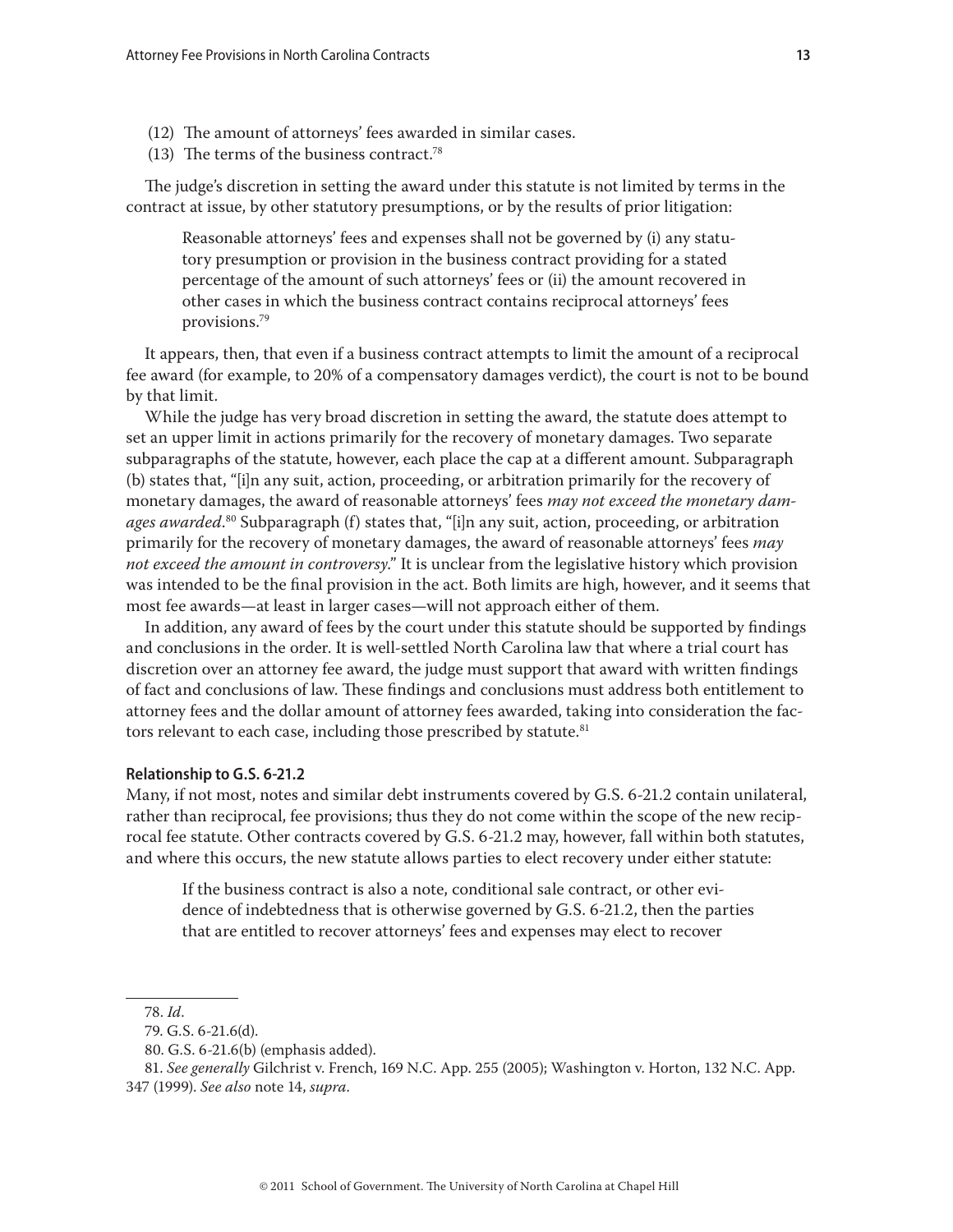- (12) The amount of attorneys' fees awarded in similar cases.
- (13) The terms of the business contract.78

The judge's discretion in setting the award under this statute is not limited by terms in the contract at issue, by other statutory presumptions, or by the results of prior litigation:

Reasonable attorneys' fees and expenses shall not be governed by (i) any statutory presumption or provision in the business contract providing for a stated percentage of the amount of such attorneys' fees or (ii) the amount recovered in other cases in which the business contract contains reciprocal attorneys' fees provisions.79

It appears, then, that even if a business contract attempts to limit the amount of a reciprocal fee award (for example, to 20% of a compensatory damages verdict), the court is not to be bound by that limit.

While the judge has very broad discretion in setting the award, the statute does attempt to set an upper limit in actions primarily for the recovery of monetary damages. Two separate subparagraphs of the statute, however, each place the cap at a different amount. Subparagraph (b) states that, "[i]n any suit, action, proceeding, or arbitration primarily for the recovery of monetary damages, the award of reasonable attorneys' fees *may not exceed the monetary damages awarded*. 80 Subparagraph (f) states that, "[i]n any suit, action, proceeding, or arbitration primarily for the recovery of monetary damages, the award of reasonable attorneys' fees *may not exceed the amount in controversy*." It is unclear from the legislative history which provision was intended to be the final provision in the act. Both limits are high, however, and it seems that most fee awards—at least in larger cases—will not approach either of them.

In addition, any award of fees by the court under this statute should be supported by findings and conclusions in the order. It is well-settled North Carolina law that where a trial court has discretion over an attorney fee award, the judge must support that award with written findings of fact and conclusions of law. These findings and conclusions must address both entitlement to attorney fees and the dollar amount of attorney fees awarded, taking into consideration the factors relevant to each case, including those prescribed by statute.<sup>81</sup>

#### **Relationship to G.S. 6-21.2**

Many, if not most, notes and similar debt instruments covered by G.S. 6-21.2 contain unilateral, rather than reciprocal, fee provisions; thus they do not come within the scope of the new reciprocal fee statute. Other contracts covered by G.S. 6-21.2 may, however, fall within both statutes, and where this occurs, the new statute allows parties to elect recovery under either statute:

If the business contract is also a note, conditional sale contract, or other evidence of indebtedness that is otherwise governed by G.S. 6-21.2, then the parties that are entitled to recover attorneys' fees and expenses may elect to recover

<sup>78.</sup> *Id*.

<sup>79.</sup> G.S. 6-21.6(d).

<sup>80.</sup> G.S. 6-21.6(b) (emphasis added).

<sup>81.</sup> *See generally* Gilchrist v. French, 169 N.C. App. 255 (2005); Washington v. Horton, 132 N.C. App. 347 (1999). *See also* note 14, *supra*.